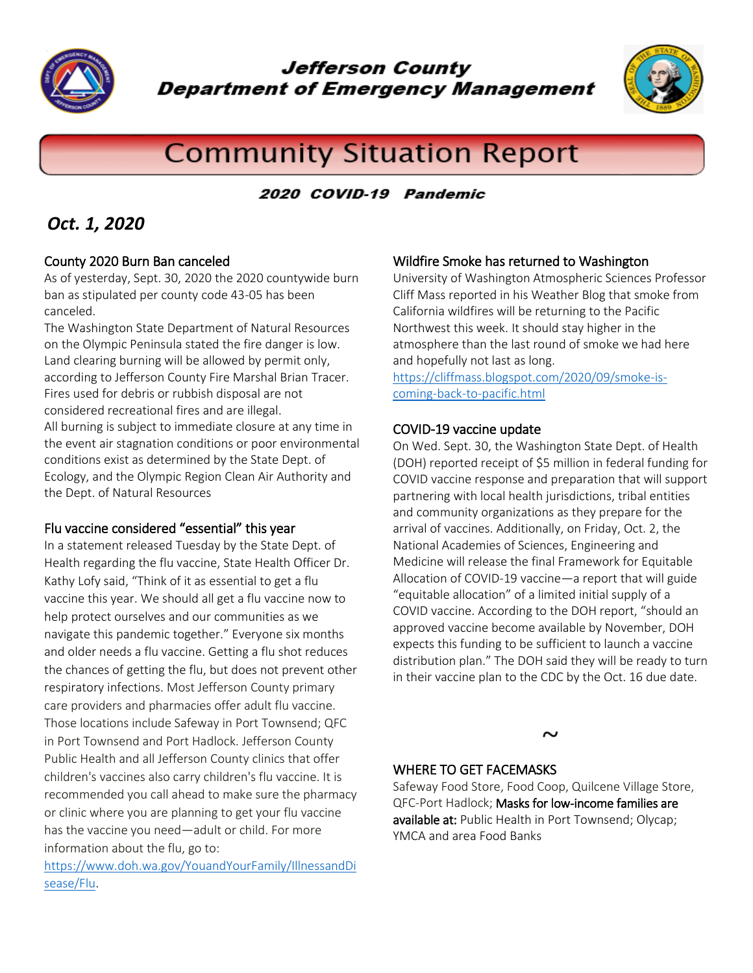

**Jefferson County Department of Emergency Management** 



# **Community Situation Report**

#### 2020 COVID-19 Pandemic

# *Oct. 1, 2020*

#### County 2020 Burn Ban canceled

As of yesterday, Sept. 30, 2020 the 2020 countywide burn ban as stipulated per county code 43-05 has been canceled.

The Washington State Department of Natural Resources on the Olympic Peninsula stated the fire danger is low. Land clearing burning will be allowed by permit only, according to Jefferson County Fire Marshal Brian Tracer. Fires used for debris or rubbish disposal are not considered recreational fires and are illegal. All burning is subject to immediate closure at any time in the event air stagnation conditions or poor environmental conditions exist as determined by the State Dept. of Ecology, and the Olympic Region Clean Air Authority and the Dept. of Natural Resources

#### Flu vaccine considered "essential" this year

In a statement released Tuesday by the State Dept. of Health regarding the flu vaccine, State Health Officer Dr. Kathy Lofy said, "Think of it as essential to get a flu vaccine this year. We should all get a flu vaccine now to help protect ourselves and our communities as we navigate this pandemic together." Everyone six months and older needs a flu vaccine. Getting a flu shot reduces the chances of getting the flu, but does not prevent other respiratory infections. Most Jefferson County primary care providers and pharmacies offer adult flu vaccine. Those locations include Safeway in Port Townsend; QFC in Port Townsend and Port Hadlock. Jefferson County Public Health and all Jefferson County clinics that offer children's vaccines also carry children's flu vaccine. It is recommended you call ahead to make sure the pharmacy or clinic where you are planning to get your flu vaccine has the vaccine you need—adult or child. For more information about the flu, go to:

[https://www.doh.wa.gov/YouandYourFamily/IllnessandDi](https://www.doh.wa.gov/YouandYourFamily/IllnessandDisease/Flu) [sease/Flu.](https://www.doh.wa.gov/YouandYourFamily/IllnessandDisease/Flu)

#### Wildfire Smoke has returned to Washington

University of Washington Atmospheric Sciences Professor Cliff Mass reported in his Weather Blog that smoke from California wildfires will be returning to the Pacific Northwest this week. It should stay higher in the atmosphere than the last round of smoke we had here and hopefully not last as long.

[https://cliffmass.blogspot.com/2020/09/smoke-is](https://cliffmass.blogspot.com/2020/09/smoke-is-coming-back-to-pacific.html)[coming-back-to-pacific.html](https://cliffmass.blogspot.com/2020/09/smoke-is-coming-back-to-pacific.html)

#### COVID-19 vaccine update

On Wed. Sept. 30, the Washington State Dept. of Health (DOH) reported receipt of \$5 million in federal funding for COVID vaccine response and preparation that will support partnering with local health jurisdictions, tribal entities and community organizations as they prepare for the arrival of vaccines. Additionally, on Friday, Oct. 2, the National Academies of Sciences, Engineering and Medicine will release the final Framework for Equitable Allocation of COVID-19 vaccine—a report that will guide "equitable allocation" of a limited initial supply of a COVID vaccine. According to the DOH report, "should an approved vaccine become available by November, DOH expects this funding to be sufficient to launch a vaccine distribution plan." The DOH said they will be ready to turn in their vaccine plan to the CDC by the Oct. 16 due date.

**~**

#### WHERE TO GET FACEMASKS

Safeway Food Store, Food Coop, Quilcene Village Store, QFC-Port Hadlock; Masks for low-income families are available at: Public Health in Port Townsend; Olycap; YMCA and area Food Banks